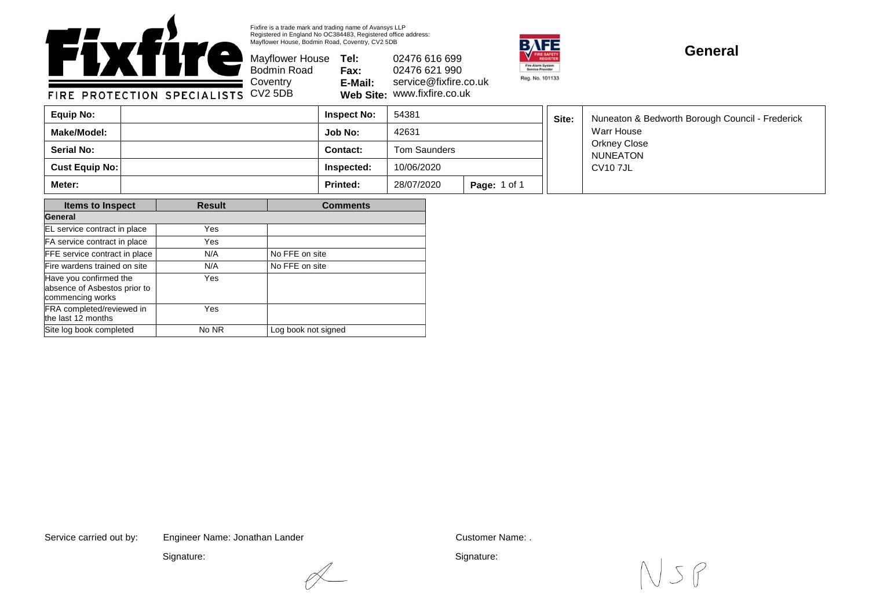

Fixfire is a trade mark and trading name of Avansys LLP Registered in England No OC384483, Registered office address: Mayflower House, Bodmin Road, Coventry, CV2 5DB

Bodmin Road **Coventry** 

Mayflower House **Tel: Fax: E-Mail: Web Site:** www.fixfire.co.uk 02476 616 699 02476 621 990 service@fixfire.co.uk



## **General**

FIRE PROTECTION SPECIALISTS CV2 5DB

| Equip No:         | <b>Inspect No:</b> | 54381               |                     | Site: | Nuneaton & Bedworth Borough Council - Frederick<br>Warr House<br>Orkney Close<br><b>NUNEATON</b><br>CV10 7JL |
|-------------------|--------------------|---------------------|---------------------|-------|--------------------------------------------------------------------------------------------------------------|
| Make/Model:       | Job No:            | 42631               |                     |       |                                                                                                              |
| <b>Serial No:</b> | Contact:           | <b>Tom Saunders</b> |                     |       |                                                                                                              |
| Cust Equip No:    | Inspected:         | 10/06/2020          |                     |       |                                                                                                              |
| Meter:            | <b>Printed:</b>    | 28/07/2020          | <b>Page: 1 of 1</b> |       |                                                                                                              |

| <b>Items to Inspect</b>                                                    | <b>Result</b> | <b>Comments</b>     |  |  |
|----------------------------------------------------------------------------|---------------|---------------------|--|--|
| General                                                                    |               |                     |  |  |
| EL service contract in place                                               | Yes           |                     |  |  |
| FA service contract in place                                               | Yes           |                     |  |  |
| FFE service contract in place                                              | N/A           | No FFE on site      |  |  |
| Fire wardens trained on site                                               | N/A           | No FFE on site      |  |  |
| Have you confirmed the<br>absence of Asbestos prior to<br>commencing works | Yes           |                     |  |  |
| FRA completed/reviewed in<br>the last 12 months                            | Yes           |                     |  |  |
| Site log book completed                                                    | No NR         | Log book not signed |  |  |

Service carried out by: Customer Name: . Engineer Name: Jonathan Lander

Signature:



Signature: